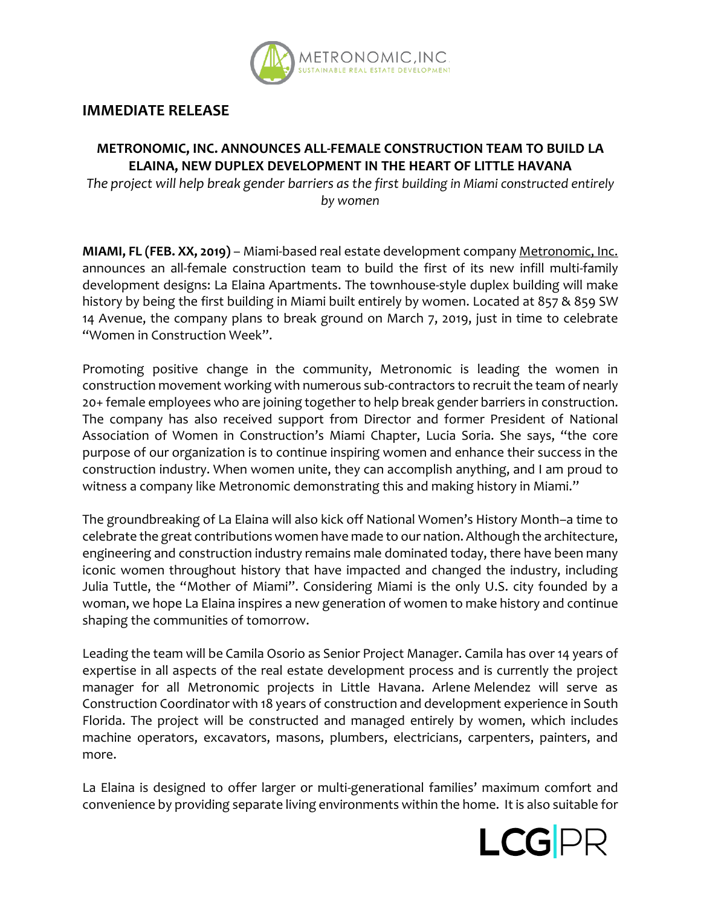

## **IMMEDIATE RELEASE**

## **METRONOMIC, INC. ANNOUNCES ALL-FEMALE CONSTRUCTION TEAM TO BUILD LA ELAINA, NEW DUPLEX DEVELOPMENT IN THE HEART OF LITTLE HAVANA**

*The project will help break gender barriers as the first building in Miami constructed entirely by women*

**MIAMI, FL (FEB. XX, 2019)** – Miami-based real estate development compan[y Metronomic, Inc.](https://www.metronomicinc.com/) announces an all-female construction team to build the first of its new infill multi-family development designs: La Elaina Apartments. The townhouse-style duplex building will make history by being the first building in Miami built entirely by women. Located at 857 & 859 SW 14 Avenue, the company plans to break ground on March 7, 2019, just in time to celebrate "Women in Construction Week".

Promoting positive change in the community, Metronomic is leading the women in construction movement working with numerous sub-contractors to recruit the team of nearly 20+ female employees who are joining together to help break gender barriers in construction. The company has also received support from Director and former President of National Association of Women in Construction's Miami Chapter, Lucia Soria. She says, "the core purpose of our organization is to continue inspiring women and enhance their success in the construction industry. When women unite, they can accomplish anything, and I am proud to witness a company like Metronomic demonstrating this and making history in Miami."

The groundbreaking of La Elaina will also kick off National Women's History Month–a time to celebrate the great contributions women have made to our nation. Although the architecture, engineering and construction industry remains male dominated today, there have been many iconic women throughout history that have impacted and changed the industry, including Julia Tuttle, the "Mother of Miami". Considering Miami is the only U.S. city founded by a woman, we hope La Elaina inspires a new generation of women to make history and continue shaping the communities of tomorrow.

Leading the team will be Camila Osorio as Senior Project Manager. Camila has over 14 years of expertise in all aspects of the real estate development process and is currently the project manager for all Metronomic projects in Little Havana. Arlene Melendez will serve as Construction Coordinator with 18 years of construction and development experience in South Florida. The project will be constructed and managed entirely by women, which includes machine operators, excavators, masons, plumbers, electricians, carpenters, painters, and more.

La Elaina is designed to offer larger or multi-generational families' maximum comfort and convenience by providing separate living environments within the home. It is also suitable for

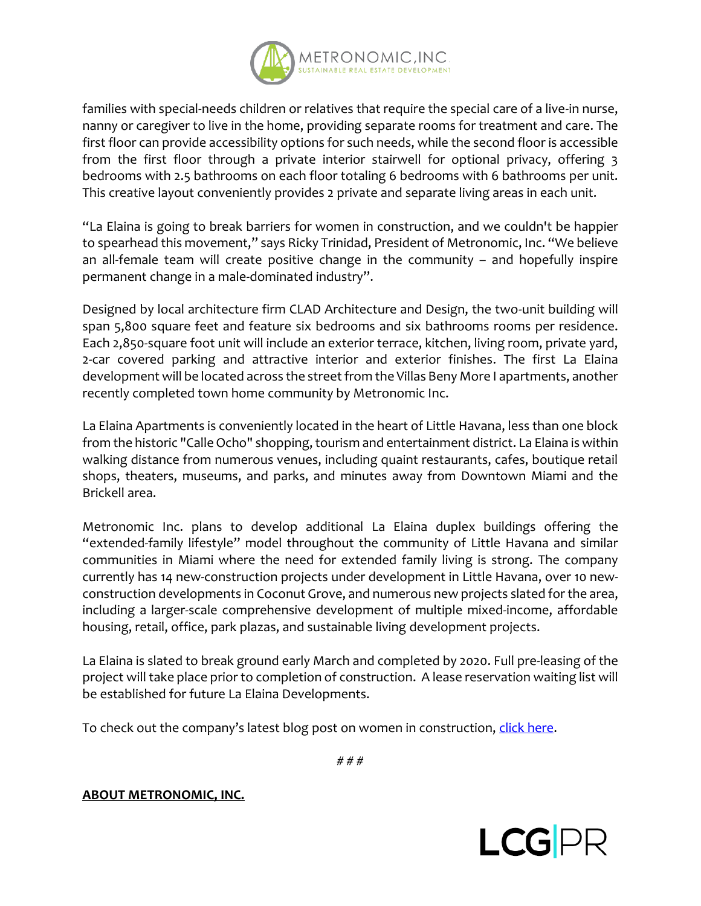

families with special-needs children or relatives that require the special care of a live-in nurse, nanny or caregiver to live in the home, providing separate rooms for treatment and care. The first floor can provide accessibility options for such needs, while the second floor is accessible from the first floor through a private interior stairwell for optional privacy, offering 3 bedrooms with 2.5 bathrooms on each floor totaling 6 bedrooms with 6 bathrooms per unit. This creative layout conveniently provides 2 private and separate living areas in each unit.

"La Elaina is going to break barriers for women in construction, and we couldn't be happier to spearhead this movement," says Ricky Trinidad, President of Metronomic, Inc. "We believe an all-female team will create positive change in the community – and hopefully inspire permanent change in a male-dominated industry".

Designed by local architecture firm CLAD Architecture and Design, the two-unit building will span 5,800 square feet and feature six bedrooms and six bathrooms rooms per residence. Each 2,850-square foot unit will include an exterior terrace, kitchen, living room, private yard, 2-car covered parking and attractive interior and exterior finishes. The first La Elaina development will be located across the street from the Villas Beny More I apartments, another recently completed town home community by Metronomic Inc.

La Elaina Apartments is conveniently located in the heart of Little Havana, less than one block from the historic "Calle Ocho" shopping, tourism and entertainment district. La Elaina is within walking distance from numerous venues, including quaint restaurants, cafes, boutique retail shops, theaters, museums, and parks, and minutes away from Downtown Miami and the Brickell area.

Metronomic Inc. plans to develop additional La Elaina duplex buildings offering the "extended-family lifestyle" model throughout the community of Little Havana and similar communities in Miami where the need for extended family living is strong. The company currently has 14 new-construction projects under development in Little Havana, over 10 newconstruction developments in Coconut Grove, and numerous new projects slated for the area, including a larger-scale comprehensive development of multiple mixed-income, affordable housing, retail, office, park plazas, and sustainable living development projects.

La Elaina is slated to break ground early March and completed by 2020. Full pre-leasing of the project will take place prior to completion of construction. A lease reservation waiting list will be established for future La Elaina Developments.

To check out the company's latest blog post on women in construction, *[click here.](https://www.metronomicinc.com/blog/women-in-construction-metronomic-is-leading-the-movement)* 

# # #

## **ABOUT METRONOMIC, INC.**

**LCG**PR